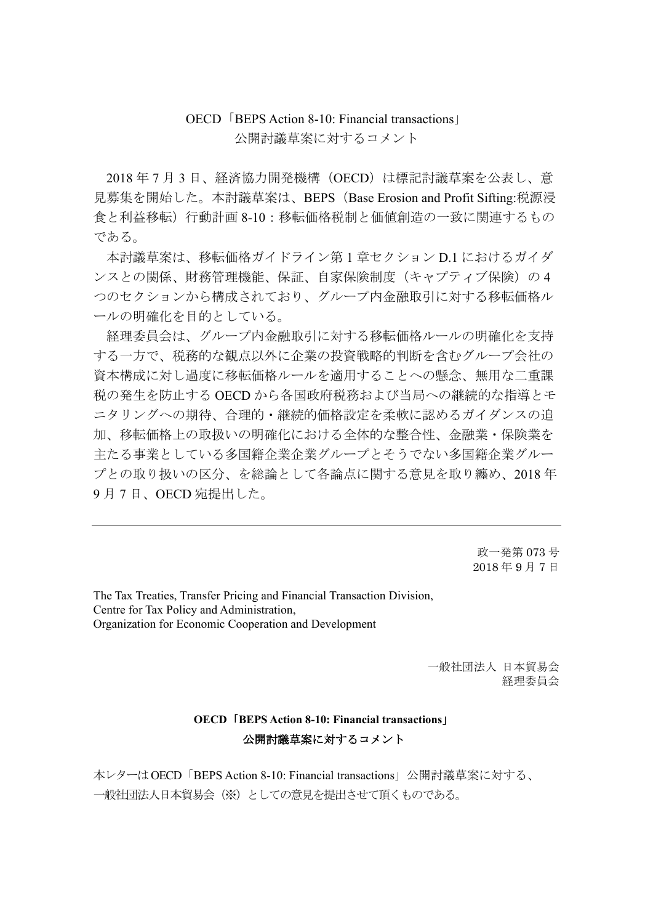## OECD「BEPS Action 8-10: Financial transactions」 公開討議草案に対するコメント

2018 年 7 月 3 日、経済協力開発機構(OECD)は標記討議草案を公表し、意 見募集を開始した。本討議草案は、BEPS(Base Erosion and Profit Sifting:税源浸 食と利益移転)行動計画 8-10:移転価格税制と価値創造の一致に関連するもの である。

本討議草案は、移転価格ガイドライン第 1 章セクション D.1 におけるガイダ ンスとの関係、財務管理機能、保証、自家保険制度(キャプティブ保険)の 4 つのセクションから構成されており、グループ内金融取引に対する移転価格ル ールの明確化を目的としている。

経理委員会は、グループ内金融取引に対する移転価格ルールの明確化を支持 する一方で、税務的な観点以外に企業の投資戦略的判断を含むグループ会社の 資本構成に対し過度に移転価格ルールを適用することへの懸念、無用な二重課 税の発生を防止する OECD から各国政府税務および当局への継続的な指導とモ ニタリングへの期待、合理的・継続的価格設定を柔軟に認めるガイダンスの追 加、移転価格上の取扱いの明確化における全体的な整合性、金融業・保険業を 主たる事業としている多国籍企業企業グループとそうでない多国籍企業グルー プとの取り扱いの区分、を総論として各論点に関する意見を取り纏め、2018 年 9 月 7 日、OECD 宛提出した。

> 政一発第 073 号 2018 年 9 月 7 日

The Tax Treaties, Transfer Pricing and Financial Transaction Division, Centre for Tax Policy and Administration, Organization for Economic Cooperation and Development

> 一般社団法人 日本貿易会 経理委員会

## **OECD**「**BEPS Action 8-10: Financial transactions**」 公開討議草案に対するコメント

本レターはOECD「BEPS Action 8-10: Financial transactions」公開討議草案に対する、 一般社団法人日本貿易会(※)としての意見を提出させて頂くものである。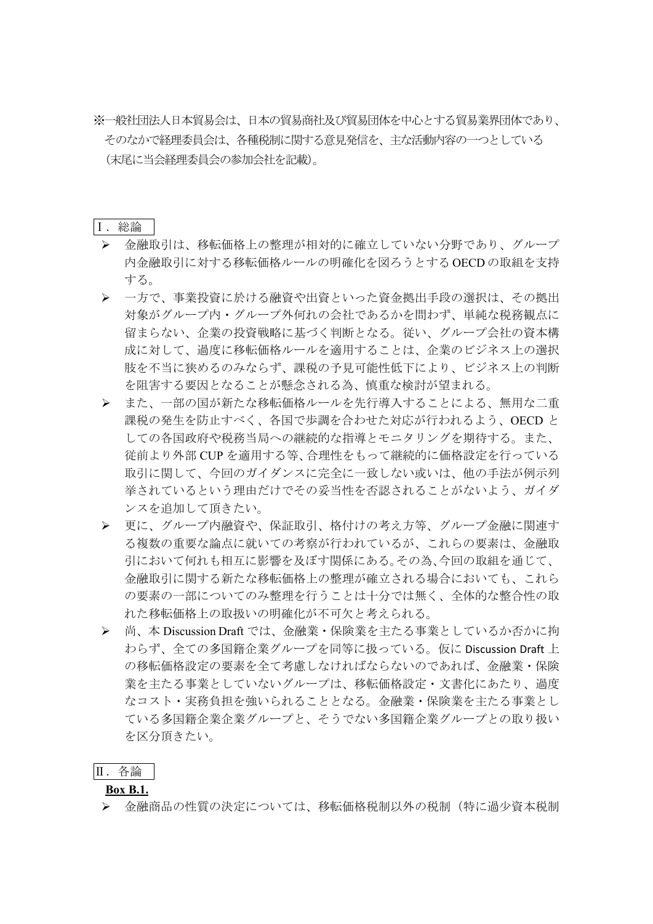※一般社団法人日本貿易会は、日本の貿易商社及び貿易団体を中心とする貿易業界団体であり、 そのなかで経理委員会は、各種税制に関する意見発信を、主な活動内容の一つとしている (末尾に当会経理委員会の参加会社を記載)。

## Ⅰ.総論

- 金融取引は、移転価格上の整理が相対的に確立していない分野であり、グループ 内金融取引に対する移転価格ルールの明確化を図ろうとする OECD の取組を支持 する。
- 一方で、事業投資に於ける融資や出資といった資金拠出手段の選択は、その拠出 対象がグループ内・グループ外何れの会社であるかを問わず、単純な税務観点に 留まらない、企業の投資戦略に基づく判断となる。従い、グループ会社の資本構 成に対して、過度に移転価格ルールを適用することは、企業のビジネス上の選択 肢を不当に狭めるのみならず、課税の予見可能性低下により、ビジネス上の判断 を阻害する要因となることが懸念される為、慎重な検討が望まれる。
- また、一部の国が新たな移転価格ルールを先行導入することによる、無用な二重 課税の発生を防止すべく、各国で歩調を合わせた対応が行われるよう、OECD と しての各国政府や税務当局への継続的な指導とモニタリングを期待する。また、 従前より外部 CUP を適用する等、合理性をもって継続的に価格設定を行っている 取引に関して、今回のガイダンスに完全に一致しない或いは、他の手法が例示列 挙されているという理由だけでその妥当性を否認されることがないよう、ガイダ ンスを追加して頂きたい。
- > 更に、グループ内融資や、保証取引、格付けの考え方等、グループ金融に関連す る複数の重要な論点に就いての考察が行われているが、これらの要素は、金融取 引において何れも相互に影響を及ぼす関係にある。その為、今回の取組を通じて、 金融取引に関する新たな移転価格上の整理が確立される場合においても、これら の要素の一部についてのみ整理を行うことは十分では無く、全体的な整合性の取 れた移転価格上の取扱いの明確化が不可欠と考えられる。
- > 尚、本 Discussion Draft では、金融業・保険業を主たる事業としているか否かに拘 わらず、全ての多国籍企業グループを同等に扱っている。仮に Discussion Draft 上 の移転価格設定の要素を全て考慮しなければならないのであれば、金融業・保険 業を主たる事業としていないグループは、移転価格設定・文書化にあたり、過度 なコスト・実務負担を強いられることとなる。金融業・保険業を主たる事業とし ている多国籍企業企業グループと、そうでない多国籍企業グループとの取り扱い を区分頂きたい。

### Ⅱ.各論

### **Box B.1.**

▶ 金融商品の性質の決定については、移転価格税制以外の税制(特に過少資本税制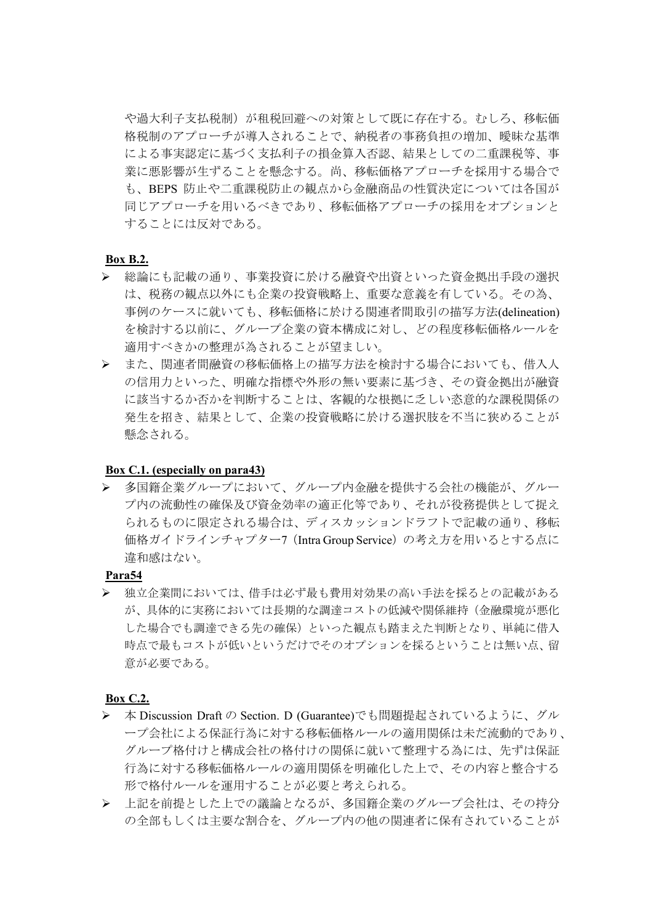や過大利子支払税制)が租税回避への対策として既に存在する。むしろ、移転価 格税制のアプローチが導入されることで、納税者の事務負担の増加、曖昧な基準 による事実認定に基づく支払利子の損金算入否認、結果としての二重課税等、事 業に悪影響が生ずることを懸念する。尚、移転価格アプローチを採用する場合で も、BEPS 防止や二重課税防止の観点から金融商品の性質決定については各国が 同じアプローチを用いるべきであり、移転価格アプローチの採用をオプションと することには反対である。

### **Box B.2.**

- > 総論にも記載の通り、事業投資に於ける融資や出資といった資金拠出手段の選択 は、税務の観点以外にも企業の投資戦略上、重要な意義を有している。その為、 事例のケースに就いても、移転価格に於ける関連者間取引の描写方法(delineation) を検討する以前に、グループ企業の資本構成に対し、どの程度移転価格ルールを 適用すべきかの整理が為されることが望ましい。
- また、関連者間融資の移転価格上の描写方法を検討する場合においても、借入人 の信用力といった、明確な指標や外形の無い要素に基づき、その資金拠出が融資 に該当するか否かを判断することは、客観的な根拠に乏しい恣意的な課税関係の 発生を招き、結果として、企業の投資戦略に於ける選択肢を不当に狭めることが 懸念される。

#### **Box C.1. (especially on para43)**

 多国籍企業グループにおいて、グループ内金融を提供する会社の機能が、グルー プ内の流動性の確保及び資金効率の適正化等であり、それが役務提供として捉え られるものに限定される場合は、ディスカッションドラフトで記載の通り、移転 価格ガイドラインチャプター7(Intra Group Service)の考え方を用いるとする点に 違和感はない。

**Para54**

 独立企業間においては、借手は必ず最も費用対効果の高い手法を採るとの記載がある が、具体的に実務においては長期的な調達コストの低減や関係維持(金融環境が悪化 した場合でも調達できる先の確保)といった観点も踏まえた判断となり、単純に借入 時点で最もコストが低いというだけでそのオプションを採るということは無い点、留 意が必要である。

#### **Box C.2.**

- > 本 Discussion Draft の Section. D (Guarantee)でも問題提起されているように、グル ープ会社による保証行為に対する移転価格ルールの適用関係は未だ流動的であり、 グループ格付けと構成会社の格付けの関係に就いて整理する為には、先ずは保証 行為に対する移転価格ルールの適用関係を明確化した上で、その内容と整合する 形で格付ルールを運用することが必要と考えられる。
- 上記を前提とした上での議論となるが、多国籍企業のグループ会社は、その持分 の全部もしくは主要な割合を、グループ内の他の関連者に保有されていることが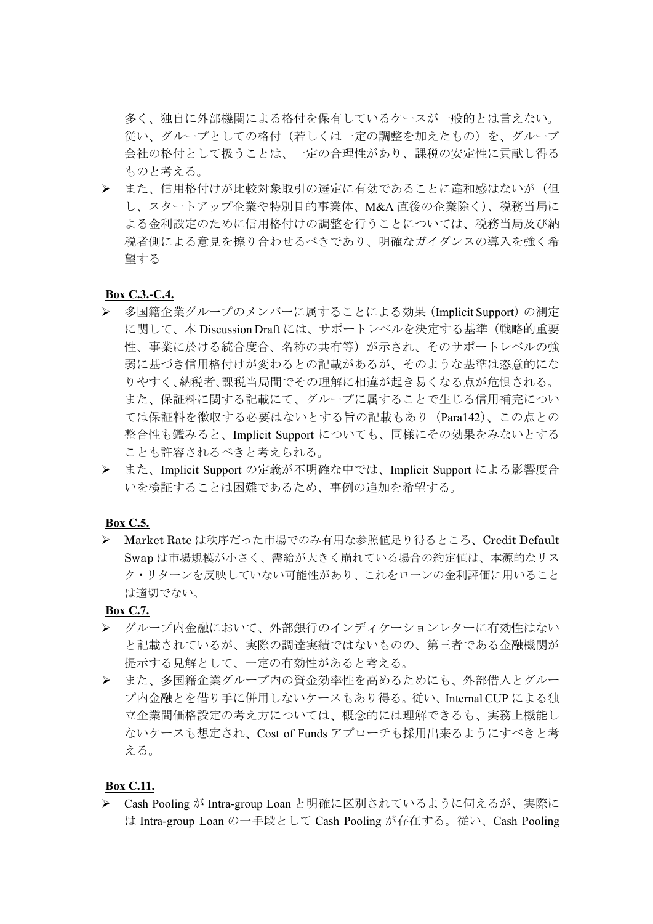多く、独自に外部機関による格付を保有しているケースが一般的とは言えない。 従い、グループとしての格付(若しくは一定の調整を加えたもの)を、グループ 会社の格付として扱うことは、一定の合理性があり、課税の安定性に貢献し得る ものと考える。

> また、信用格付けが比較対象取引の選定に有効であることに違和感はないが(但 し、スタートアップ企業や特別目的事業体、M&A 直後の企業除く)、税務当局に よる金利設定のために信用格付けの調整を行うことについては、税務当局及び納 税者側による意見を擦り合わせるべきであり、明確なガイダンスの導入を強く希 望する

### **Box C.3.-C.4.**

- 多国籍企業グループのメンバーに属することによる効果(Implicit Support)の測定 に関して、本 Discussion Draft には、サポートレベルを決定する基準(戦略的重要 性、事業に於ける統合度合、名称の共有等)が示され、そのサポートレベルの強 弱に基づき信用格付けが変わるとの記載があるが、そのような基準は恣意的にな りやすく、納税者、課税当局間でその理解に相違が起き易くなる点が危惧される。 また、保証料に関する記載にて、グループに属することで生じる信用補完につい ては保証料を徴収する必要はないとする旨の記載もあり(Para142)、この点との 整合性も鑑みると、Implicit Support についても、同様にその効果をみないとする ことも許容されるべきと考えられる。
- > また、Implicit Support の定義が不明確な中では、Implicit Support による影響度合 いを検証することは困難であるため、事例の追加を希望する。

### **Box C.5.**

**> Market Rate は秩序だった市場でのみ有用な参照値足り得るところ、Credit Default** Swap は市場規模が小さく、需給が大きく崩れている場合の約定値は、本源的なリス ク・リターンを反映していない可能性があり、これをローンの金利評価に用いること は適切でない。

**Box C.7.**

- > グループ内金融において、外部銀行のインディケーションレターに有効性はない と記載されているが、実際の調達実績ではないものの、第三者である金融機関が 提示する見解として、一定の有効性があると考える。
- また、多国籍企業グループ内の資金効率性を高めるためにも、外部借入とグルー プ内金融とを借り手に併用しないケースもあり得る。従い、Internal CUP による独 立企業間価格設定の考え方については、概念的には理解できるも、実務上機能し ないケースも想定され、Cost of Funds アプローチも採用出来るようにすべきと考 える。

### **Box C.11.**

▶ Cash Pooling が Intra-group Loan と明確に区別されているように伺えるが、実際に は Intra-group Loan の一手段として Cash Pooling が存在する。従い、Cash Pooling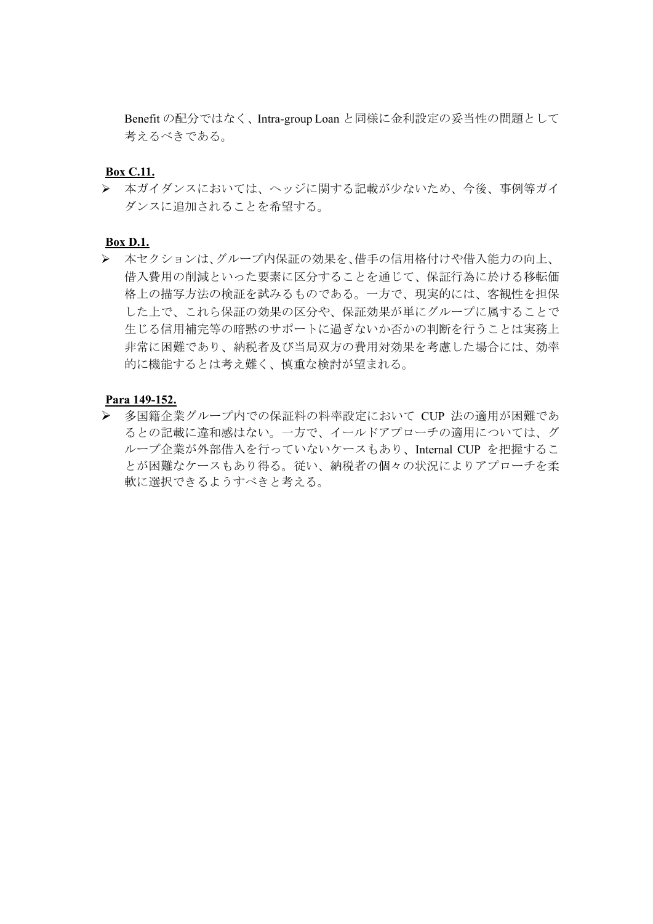Benefit の配分ではなく、Intra-group Loan と同様に金利設定の妥当性の問題として 考えるべきである。

### **Box C.11.**

 本ガイダンスにおいては、ヘッジに関する記載が少ないため、今後、事例等ガイ ダンスに追加されることを希望する。

### **Box D.1.**

 本セクションは、グループ内保証の効果を、借手の信用格付けや借入能力の向上、 借入費用の削減といった要素に区分することを通じて、保証行為に於ける移転価 格上の描写方法の検証を試みるものである。一方で、現実的には、客観性を担保 した上で、これら保証の効果の区分や、保証効果が単にグループに属することで 生じる信用補完等の暗黙のサポートに過ぎないか否かの判断を行うことは実務上 非常に困難であり、納税者及び当局双方の費用対効果を考慮した場合には、効率 的に機能するとは考え難く、慎重な検討が望まれる。

#### **Para 149-152.**

 多国籍企業グループ内での保証料の料率設定において CUP 法の適用が困難であ るとの記載に違和感はない。一方で、イールドアプローチの適用については、グ ループ企業が外部借入を行っていないケースもあり、Internal CUP を把握するこ とが困難なケースもあり得る。従い、納税者の個々の状況によりアプローチを柔 軟に選択できるようすべきと考える。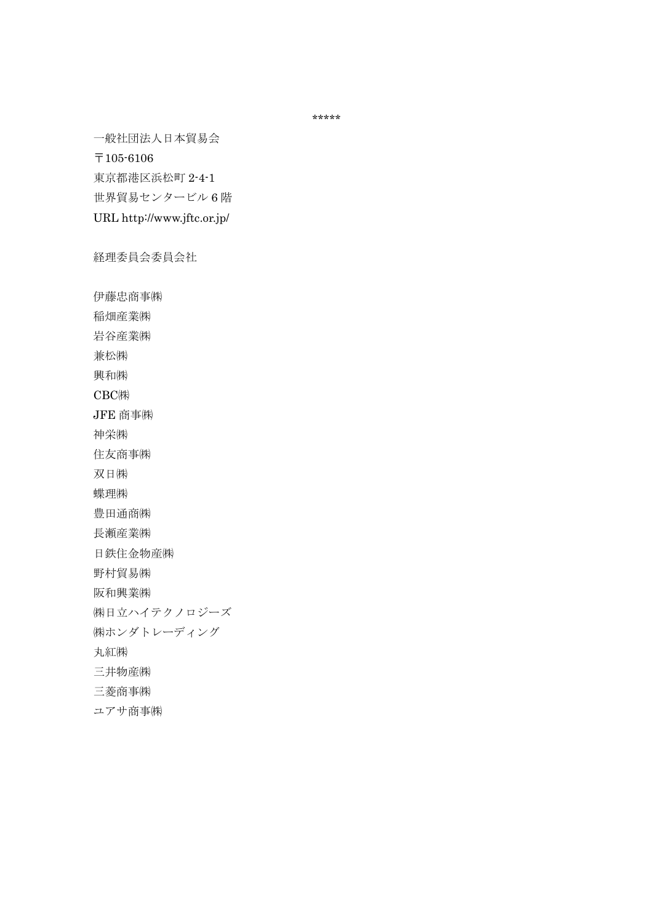\*\*\*\*\*

一般社団法人日本貿易会

〒105-6106

東京都港区浜松町 2-4-1 世界貿易センタービル 6 階

URL http://www.jftc.or.jp/

経理委員会委員会社

伊藤忠商事㈱ 稲畑産業㈱ 岩谷産業㈱ 兼松㈱ 興和㈱ CBC㈱ JFE 商事㈱ 神栄㈱ 住友商事㈱ 双日㈱ 蝶理㈱ 豊田通商㈱ 長瀬産業㈱ 日鉄住金物産㈱ 野村貿易㈱ 阪和興業㈱ ㈱日立ハイテクノロジーズ ㈱ホンダトレーディング 丸紅㈱ 三井物産㈱ 三菱商事㈱ ユアサ商事㈱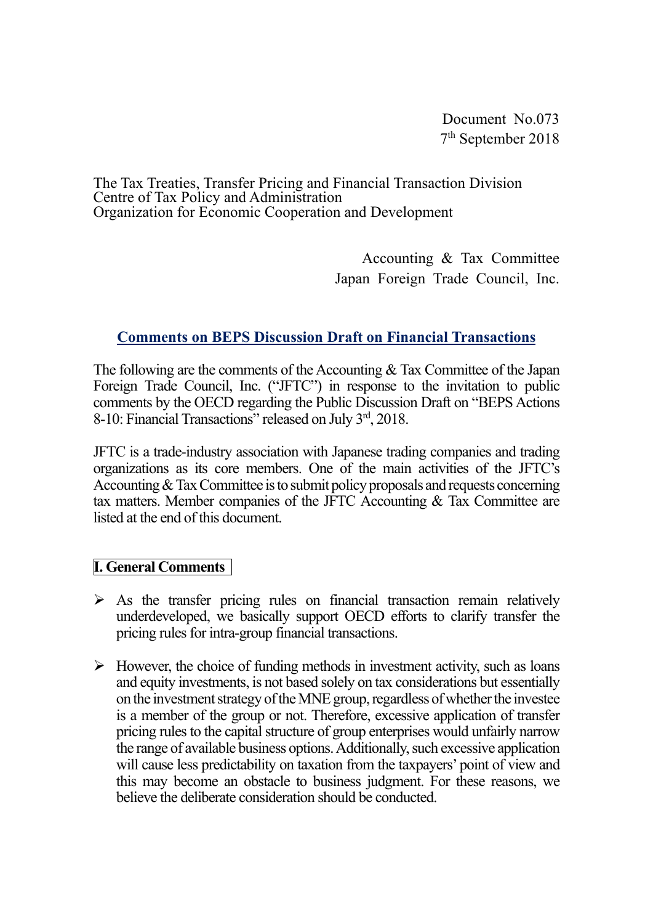Document No.073 7th September 2018

The Tax Treaties, Transfer Pricing and Financial Transaction Division Centre of Tax Policy and Administration Organization for Economic Cooperation and Development

> Accounting & Tax Committee Japan Foreign Trade Council, Inc.

# **Comments on BEPS Discussion Draft on Financial Transactions**

The following are the comments of the Accounting & Tax Committee of the Japan Foreign Trade Council, Inc. ("JFTC") in response to the invitation to public comments by the OECD regarding the Public Discussion Draft on "BEPS Actions 8-10: Financial Transactions" released on July 3rd, 2018.

JFTC is a trade-industry association with Japanese trading companies and trading organizations as its core members. One of the main activities of the JFTC's Accounting & Tax Committee is to submit policy proposals and requests concerning tax matters. Member companies of the JFTC Accounting & Tax Committee are listed at the end of this document.

## **I. General Comments**

- $\triangleright$  As the transfer pricing rules on financial transaction remain relatively underdeveloped, we basically support OECD efforts to clarify transfer the pricing rules for intra-group financial transactions.
- $\triangleright$  However, the choice of funding methods in investment activity, such as loans and equity investments, is not based solely on tax considerations but essentially on the investment strategy of the MNE group, regardless of whether the investee is a member of the group or not. Therefore, excessive application of transfer pricing rules to the capital structure of group enterprises would unfairly narrow the range of available business options. Additionally, such excessive application will cause less predictability on taxation from the taxpayers' point of view and this may become an obstacle to business judgment. For these reasons, we believe the deliberate consideration should be conducted.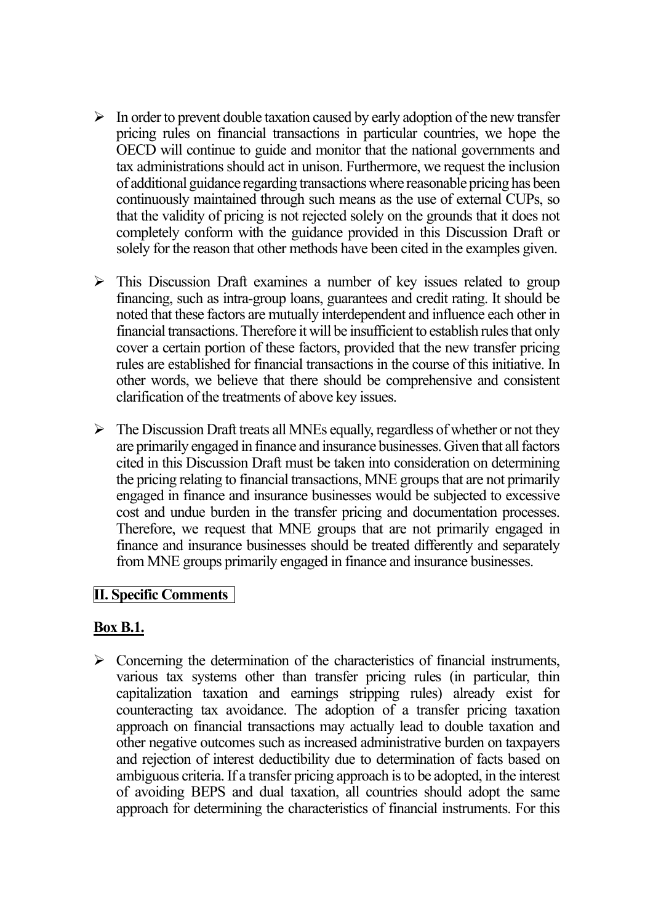- $\triangleright$  In order to prevent double taxation caused by early adoption of the new transfer pricing rules on financial transactions in particular countries, we hope the OECD will continue to guide and monitor that the national governments and tax administrations should act in unison. Furthermore, we request the inclusion of additional guidance regarding transactions where reasonable pricing has been continuously maintained through such means as the use of external CUPs, so that the validity of pricing is not rejected solely on the grounds that it does not completely conform with the guidance provided in this Discussion Draft or solely for the reason that other methods have been cited in the examples given.
- $\triangleright$  This Discussion Draft examines a number of key issues related to group financing, such as intra-group loans, guarantees and credit rating. It should be noted that these factors are mutually interdependent and influence each other in financial transactions. Therefore it will be insufficient to establish rules that only cover a certain portion of these factors, provided that the new transfer pricing rules are established for financial transactions in the course of this initiative. In other words, we believe that there should be comprehensive and consistent clarification of the treatments of above key issues.
- $\triangleright$  The Discussion Draft treats all MNEs equally, regardless of whether or not they are primarily engaged in finance and insurance businesses. Given that all factors cited in this Discussion Draft must be taken into consideration on determining the pricing relating to financial transactions, MNE groups that are not primarily engaged in finance and insurance businesses would be subjected to excessive cost and undue burden in the transfer pricing and documentation processes. Therefore, we request that MNE groups that are not primarily engaged in finance and insurance businesses should be treated differently and separately from MNE groups primarily engaged in finance and insurance businesses.

## **II. Specific Comments**

## **Box B.1.**

 $\triangleright$  Concerning the determination of the characteristics of financial instruments, various tax systems other than transfer pricing rules (in particular, thin capitalization taxation and earnings stripping rules) already exist for counteracting tax avoidance. The adoption of a transfer pricing taxation approach on financial transactions may actually lead to double taxation and other negative outcomes such as increased administrative burden on taxpayers and rejection of interest deductibility due to determination of facts based on ambiguous criteria. If a transfer pricing approach is to be adopted, in the interest of avoiding BEPS and dual taxation, all countries should adopt the same approach for determining the characteristics of financial instruments. For this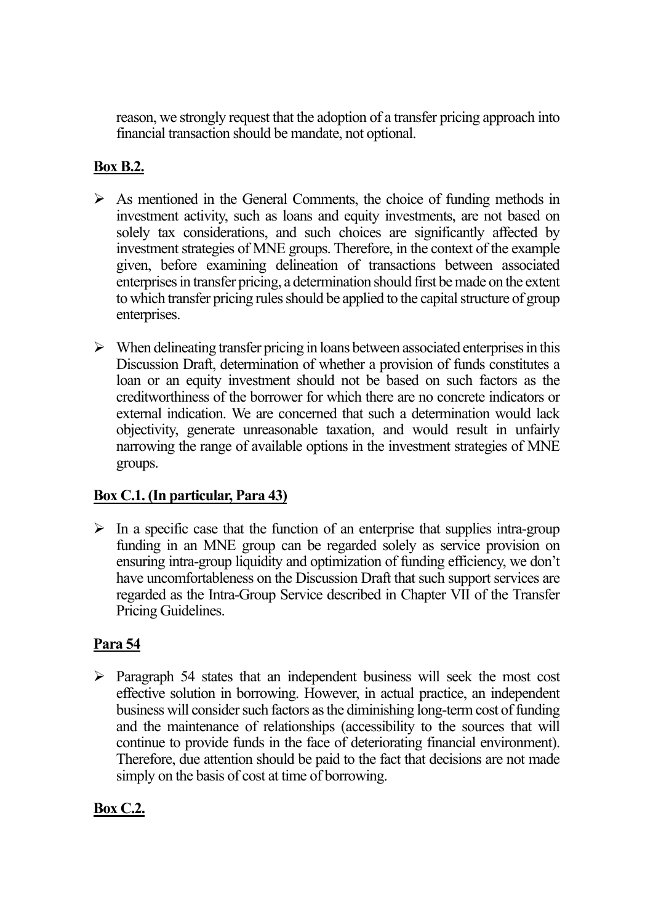reason, we strongly request that the adoption of a transfer pricing approach into financial transaction should be mandate, not optional.

## **Box B.2.**

- $\triangleright$  As mentioned in the General Comments, the choice of funding methods in investment activity, such as loans and equity investments, are not based on solely tax considerations, and such choices are significantly affected by investment strategies of MNE groups. Therefore, in the context of the example given, before examining delineation of transactions between associated enterprises in transfer pricing, a determination should first be made on the extent to which transfer pricing rules should be applied to the capital structure of group enterprises.
- $\triangleright$  When delineating transfer pricing in loans between associated enterprises in this Discussion Draft, determination of whether a provision of funds constitutes a loan or an equity investment should not be based on such factors as the creditworthiness of the borrower for which there are no concrete indicators or external indication. We are concerned that such a determination would lack objectivity, generate unreasonable taxation, and would result in unfairly narrowing the range of available options in the investment strategies of MNE groups.

# **Box C.1. (In particular, Para 43)**

 $\triangleright$  In a specific case that the function of an enterprise that supplies intra-group funding in an MNE group can be regarded solely as service provision on ensuring intra-group liquidity and optimization of funding efficiency, we don't have uncomfortableness on the Discussion Draft that such support services are regarded as the Intra-Group Service described in Chapter VII of the Transfer Pricing Guidelines.

# **Para 54**

 $\triangleright$  Paragraph 54 states that an independent business will seek the most cost effective solution in borrowing. However, in actual practice, an independent business will consider such factors as the diminishing long-term cost of funding and the maintenance of relationships (accessibility to the sources that will continue to provide funds in the face of deteriorating financial environment). Therefore, due attention should be paid to the fact that decisions are not made simply on the basis of cost at time of borrowing.

# **Box C.2.**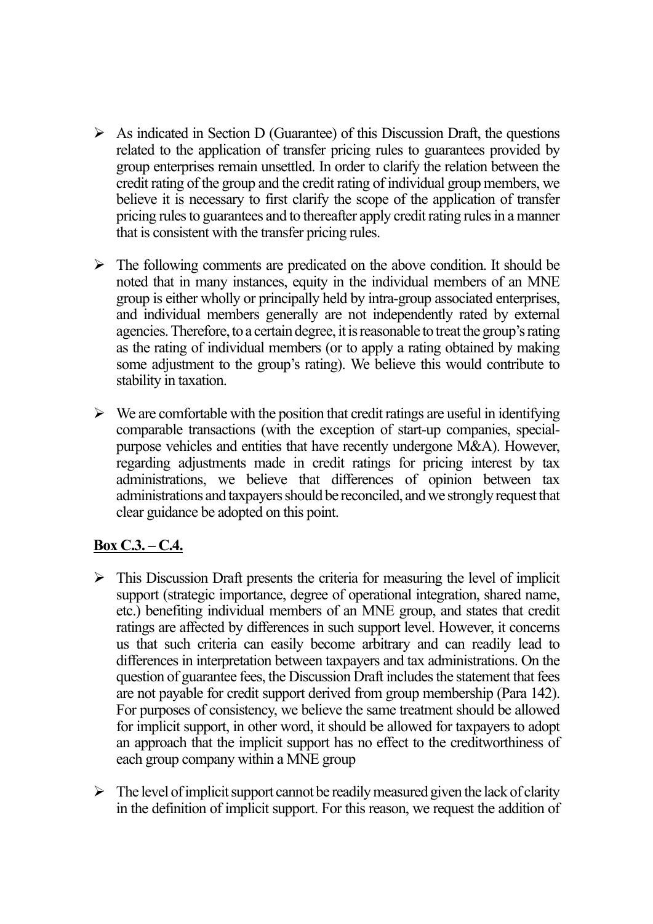- $\triangleright$  As indicated in Section D (Guarantee) of this Discussion Draft, the questions related to the application of transfer pricing rules to guarantees provided by group enterprises remain unsettled. In order to clarify the relation between the credit rating of the group and the credit rating of individual group members, we believe it is necessary to first clarify the scope of the application of transfer pricing rules to guarantees and to thereafter apply credit rating rules in a manner that is consistent with the transfer pricing rules.
- $\triangleright$  The following comments are predicated on the above condition. It should be noted that in many instances, equity in the individual members of an MNE group is either wholly or principally held by intra-group associated enterprises, and individual members generally are not independently rated by external agencies. Therefore, to a certain degree, it is reasonable to treat the group's rating as the rating of individual members (or to apply a rating obtained by making some adjustment to the group's rating). We believe this would contribute to stability in taxation.
- $\triangleright$  We are comfortable with the position that credit ratings are useful in identifying comparable transactions (with the exception of start-up companies, specialpurpose vehicles and entities that have recently undergone M&A). However, regarding adjustments made in credit ratings for pricing interest by tax administrations, we believe that differences of opinion between tax administrations and taxpayers should be reconciled, and we strongly request that clear guidance be adopted on this point.

# **Box C.3. – C.4.**

- $\triangleright$  This Discussion Draft presents the criteria for measuring the level of implicit support (strategic importance, degree of operational integration, shared name, etc.) benefiting individual members of an MNE group, and states that credit ratings are affected by differences in such support level. However, it concerns us that such criteria can easily become arbitrary and can readily lead to differences in interpretation between taxpayers and tax administrations. On the question of guarantee fees, the Discussion Draft includes the statement that fees are not payable for credit support derived from group membership (Para 142). For purposes of consistency, we believe the same treatment should be allowed for implicit support, in other word, it should be allowed for taxpayers to adopt an approach that the implicit support has no effect to the creditworthiness of each group company within a MNE group
- $\triangleright$  The level of implicit support cannot be readily measured given the lack of clarity in the definition of implicit support. For this reason, we request the addition of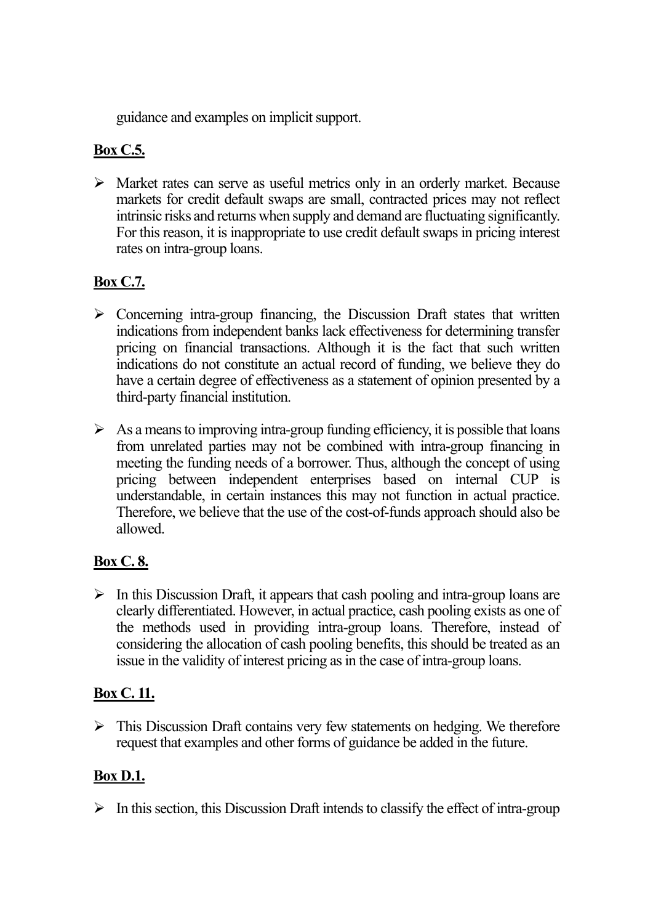guidance and examples on implicit support.

# **Box C.5.**

 $\triangleright$  Market rates can serve as useful metrics only in an orderly market. Because markets for credit default swaps are small, contracted prices may not reflect intrinsic risks and returns when supply and demand are fluctuating significantly. For this reason, it is inappropriate to use credit default swaps in pricing interest rates on intra-group loans.

# **Box C.7.**

- $\triangleright$  Concerning intra-group financing, the Discussion Draft states that written indications from independent banks lack effectiveness for determining transfer pricing on financial transactions. Although it is the fact that such written indications do not constitute an actual record of funding, we believe they do have a certain degree of effectiveness as a statement of opinion presented by a third-party financial institution.
- $\triangleright$  As a means to improving intra-group funding efficiency, it is possible that loans from unrelated parties may not be combined with intra-group financing in meeting the funding needs of a borrower. Thus, although the concept of using pricing between independent enterprises based on internal CUP is understandable, in certain instances this may not function in actual practice. Therefore, we believe that the use of the cost-of-funds approach should also be allowed.

# **Box C. 8.**

 $\triangleright$  In this Discussion Draft, it appears that cash pooling and intra-group loans are clearly differentiated. However, in actual practice, cash pooling exists as one of the methods used in providing intra-group loans. Therefore, instead of considering the allocation of cash pooling benefits, this should be treated as an issue in the validity of interest pricing as in the case of intra-group loans.

# **Box C. 11.**

 $\triangleright$  This Discussion Draft contains very few statements on hedging. We therefore request that examples and other forms of guidance be added in the future.

# **Box D.1.**

 $\triangleright$  In this section, this Discussion Draft intends to classify the effect of intra-group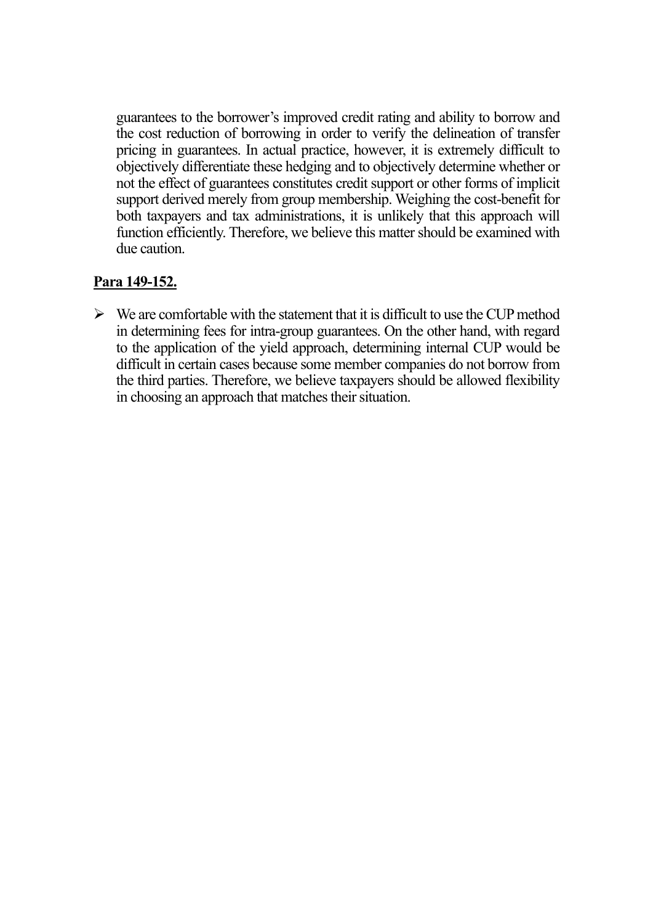guarantees to the borrower's improved credit rating and ability to borrow and the cost reduction of borrowing in order to verify the delineation of transfer pricing in guarantees. In actual practice, however, it is extremely difficult to objectively differentiate these hedging and to objectively determine whether or not the effect of guarantees constitutes credit support or other forms of implicit support derived merely from group membership. Weighing the cost-benefit for both taxpayers and tax administrations, it is unlikely that this approach will function efficiently. Therefore, we believe this matter should be examined with due caution.

## **Para 149-152.**

 $\triangleright$  We are comfortable with the statement that it is difficult to use the CUP method in determining fees for intra-group guarantees. On the other hand, with regard to the application of the yield approach, determining internal CUP would be difficult in certain cases because some member companies do not borrow from the third parties. Therefore, we believe taxpayers should be allowed flexibility in choosing an approach that matches their situation.